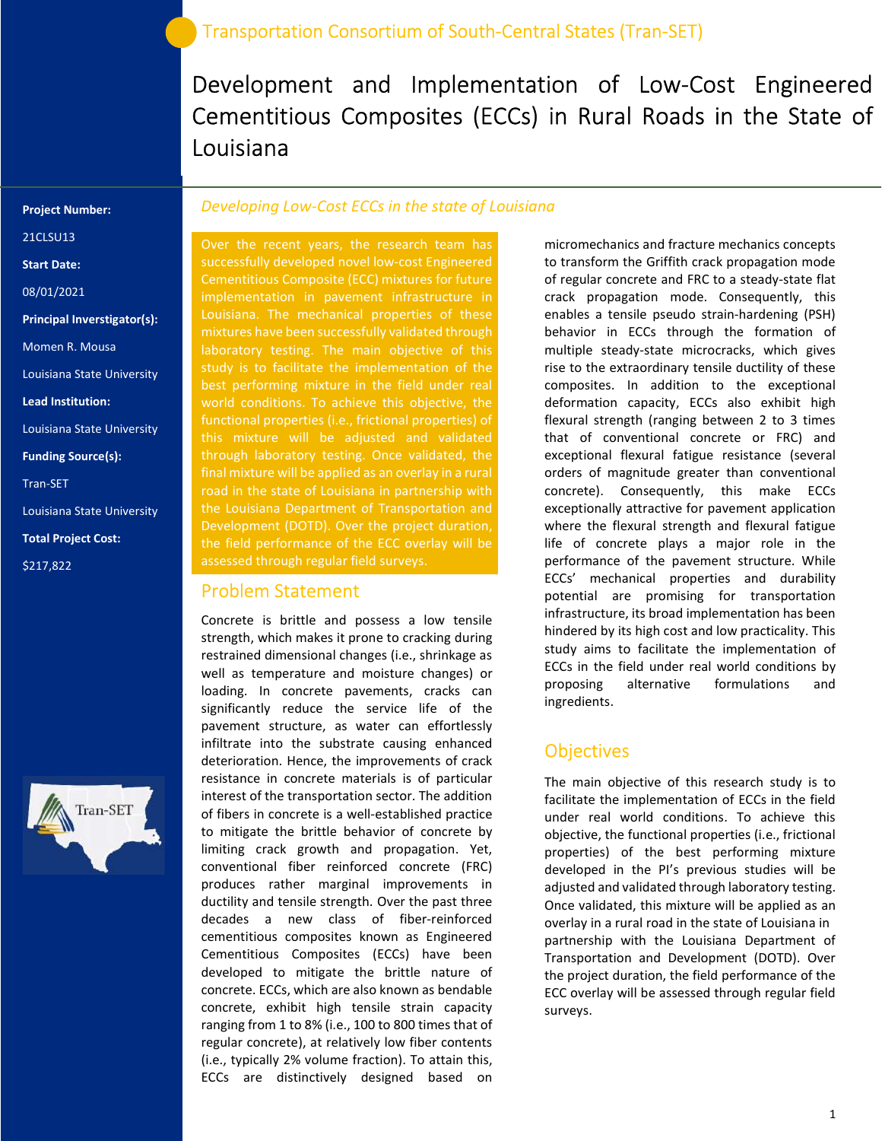Development and Implementation of Low-Cost Engineered Cementitious Composites (ECCs) in Rural Roads in the State of Louisiana

#### Project Number:

21CLSU13

Start Date:

08/01/2021

Principal Inverstigator(s):

Momen R. Mousa

Louisiana State University

Lead Institution:

Louisiana State University

Funding Source(s):

Tran-SET

Louisiana State University

Total Project Cost:

\$217,822



#### Developing Low-Cost ECCs in the state of Louisiana

Over the recent years, the research team has successfully developed novel low-cost Engineered Cementitious Composite (ECC) mixtures for future implementation in pavement infrastructure in Louisiana. The mechanical properties of these mixtures have been successfully validated through laboratory testing. The main objective of this study is to facilitate the implementation of the best performing mixture in the field under real world conditions. To achieve this objective, the this mixture will be adjusted and validated through laboratory testing. Once validated, the final mixture will be applied as an overlay in a rural road in the state of Louisiana in partnership with the Louisiana Department of Transportation and Development (DOTD). Over the project duration, the field performance of the ECC overlay will be assessed through regular field surveys.

#### Problem Statement

Concrete is brittle and possess a low tensile strength, which makes it prone to cracking during restrained dimensional changes (i.e., shrinkage as well as temperature and moisture changes) or loading. In concrete pavements, cracks can significantly reduce the service life of the pavement structure, as water can effortlessly infiltrate into the substrate causing enhanced deterioration. Hence, the improvements of crack resistance in concrete materials is of particular interest of the transportation sector. The addition of fibers in concrete is a well-established practice to mitigate the brittle behavior of concrete by limiting crack growth and propagation. Yet, conventional fiber reinforced concrete (FRC) produces rather marginal improvements in ductility and tensile strength. Over the past three decades a new class of fiber-reinforced cementitious composites known as Engineered Cementitious Composites (ECCs) have been developed to mitigate the brittle nature of concrete. ECCs, which are also known as bendable concrete, exhibit high tensile strain capacity ranging from 1 to 8% (i.e., 100 to 800 times that of regular concrete), at relatively low fiber contents (i.e., typically 2% volume fraction). To attain this, ECCs are distinctively designed based on

micromechanics and fracture mechanics concepts to transform the Griffith crack propagation mode of regular concrete and FRC to a steady-state flat crack propagation mode. Consequently, this enables a tensile pseudo strain-hardening (PSH) behavior in ECCs through the formation of multiple steady-state microcracks, which gives rise to the extraordinary tensile ductility of these composites. In addition to the exceptional deformation capacity, ECCs also exhibit high flexural strength (ranging between 2 to 3 times that of conventional concrete or FRC) and exceptional flexural fatigue resistance (several orders of magnitude greater than conventional concrete). Consequently, this make ECCs exceptionally attractive for pavement application where the flexural strength and flexural fatigue life of concrete plays a major role in the performance of the pavement structure. While ECCs' mechanical properties and durability potential are promising for transportation infrastructure, its broad implementation has been hindered by its high cost and low practicality. This study aims to facilitate the implementation of ECCs in the field under real world conditions by proposing alternative formulations and ingredients.

### **Objectives**

The main objective of this research study is to facilitate the implementation of ECCs in the field under real world conditions. To achieve this objective, the functional properties (i.e., frictional properties) of the best performing mixture developed in the PI's previous studies will be adjusted and validated through laboratory testing. Once validated, this mixture will be applied as an overlay in a rural road in the state of Louisiana in partnership with the Louisiana Department of Transportation and Development (DOTD). Over the project duration, the field performance of the ECC overlay will be assessed through regular field surveys.